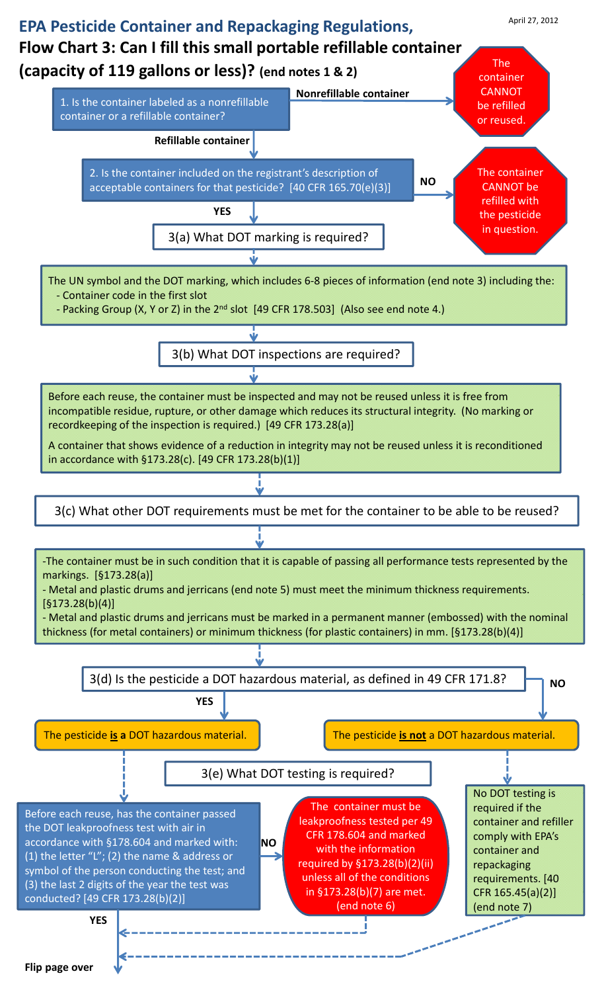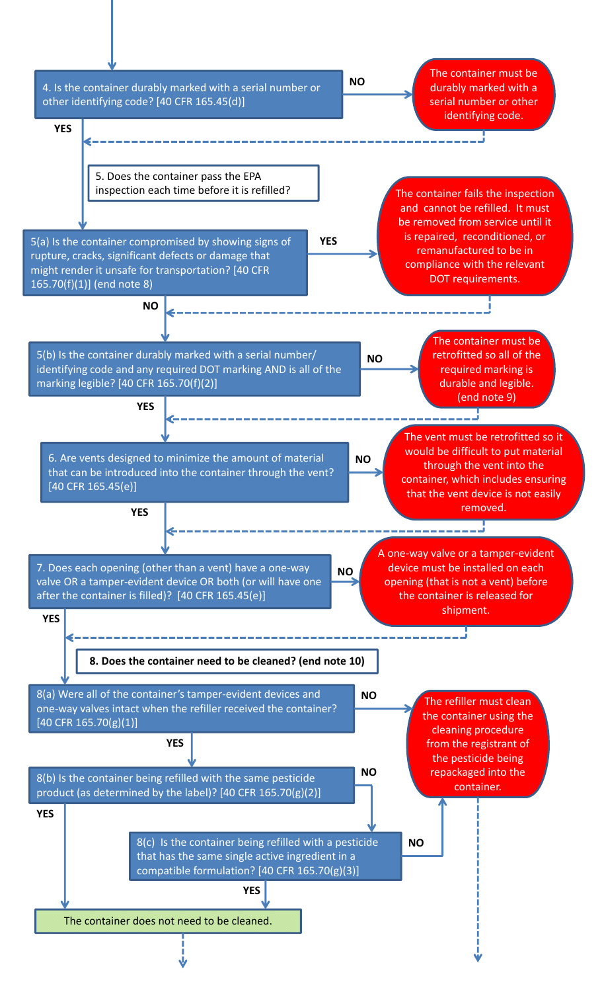